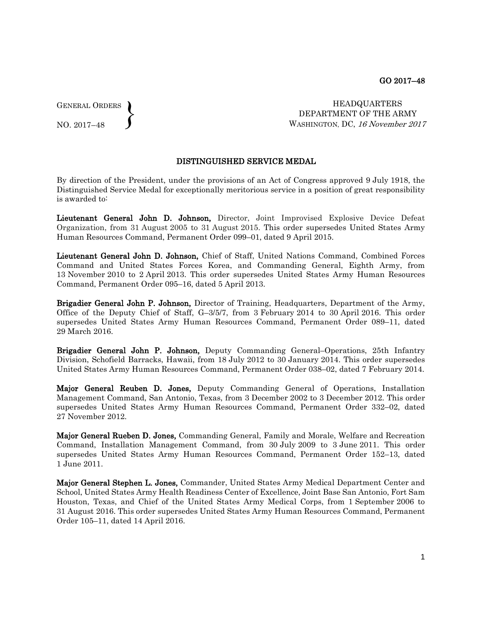GENERAL ORDERS  $\left\{ \right\}$ 

NO. 2017–48

HEADQUARTERS DEPARTMENT OF THE ARMY WASHINGTON, DC, 16 November 2017

## DISTINGUISHED SERVICE MEDAL

By direction of the President, under the provisions of an Act of Congress approved 9 July 1918, the Distinguished Service Medal for exceptionally meritorious service in a position of great responsibility is awarded to:

Lieutenant General John D. Johnson, Director, Joint Improvised Explosive Device Defeat Organization, from 31 August 2005 to 31 August 2015. This order supersedes United States Army Human Resources Command, Permanent Order 099–01, dated 9 April 2015.

Lieutenant General John D. Johnson, Chief of Staff, United Nations Command, Combined Forces Command and United States Forces Korea, and Commanding General, Eighth Army, from 13 November 2010 to 2 April 2013. This order supersedes United States Army Human Resources Command, Permanent Order 095–16, dated 5 April 2013.

Brigadier General John P. Johnson, Director of Training, Headquarters, Department of the Army, Office of the Deputy Chief of Staff, G–3/5/7, from 3 February 2014 to 30 April 2016. This order supersedes United States Army Human Resources Command, Permanent Order 089–11, dated 29 March 2016.

Brigadier General John P. Johnson, Deputy Commanding General–Operations, 25th Infantry Division, Schofield Barracks, Hawaii, from 18 July 2012 to 30 January 2014. This order supersedes United States Army Human Resources Command, Permanent Order 038–02, dated 7 February 2014.

Major General Reuben D. Jones, Deputy Commanding General of Operations, Installation Management Command, San Antonio, Texas, from 3 December 2002 to 3 December 2012. This order supersedes United States Army Human Resources Command, Permanent Order 332–02, dated 27 November 2012.

Major General Rueben D. Jones, Commanding General, Family and Morale, Welfare and Recreation Command, Installation Management Command, from 30 July 2009 to 3 June 2011. This order supersedes United States Army Human Resources Command, Permanent Order 152–13, dated 1 June 2011.

Major General Stephen L. Jones, Commander, United States Army Medical Department Center and School, United States Army Health Readiness Center of Excellence, Joint Base San Antonio, Fort Sam Houston, Texas, and Chief of the United States Army Medical Corps, from 1 September 2006 to 31 August 2016. This order supersedes United States Army Human Resources Command, Permanent Order 105–11, dated 14 April 2016.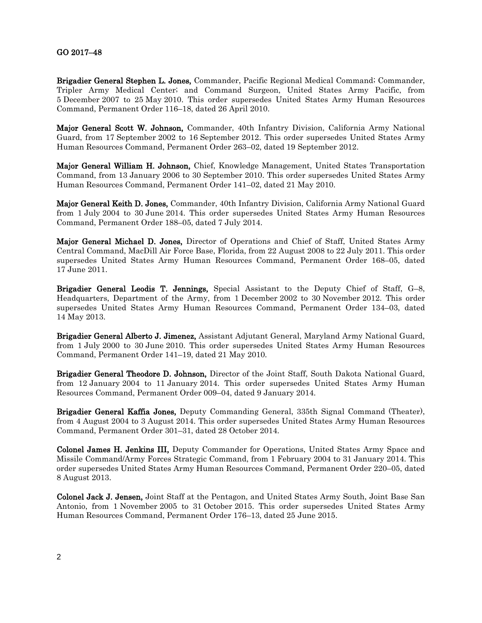## GO 2017–48

Brigadier General Stephen L. Jones, Commander, Pacific Regional Medical Command; Commander, Tripler Army Medical Center; and Command Surgeon, United States Army Pacific, from 5 December 2007 to 25 May 2010. This order supersedes United States Army Human Resources Command, Permanent Order 116–18, dated 26 April 2010.

Major General Scott W. Johnson, Commander, 40th Infantry Division, California Army National Guard, from 17 September 2002 to 16 September 2012. This order supersedes United States Army Human Resources Command, Permanent Order 263–02, dated 19 September 2012.

Major General William H. Johnson, Chief, Knowledge Management, United States Transportation Command, from 13 January 2006 to 30 September 2010. This order supersedes United States Army Human Resources Command, Permanent Order 141–02, dated 21 May 2010.

Major General Keith D. Jones, Commander, 40th Infantry Division, California Army National Guard from 1 July 2004 to 30 June 2014. This order supersedes United States Army Human Resources Command, Permanent Order 188–05, dated 7 July 2014.

Major General Michael D. Jones, Director of Operations and Chief of Staff, United States Army Central Command, MacDill Air Force Base, Florida, from 22 August 2008 to 22 July 2011. This order supersedes United States Army Human Resources Command, Permanent Order 168–05, dated 17 June 2011.

Brigadier General Leodis T. Jennings, Special Assistant to the Deputy Chief of Staff, G–8, Headquarters, Department of the Army, from 1 December 2002 to 30 November 2012. This order supersedes United States Army Human Resources Command, Permanent Order 134–03, dated 14 May 2013.

Brigadier General Alberto J. Jimenez, Assistant Adjutant General, Maryland Army National Guard, from 1 July 2000 to 30 June 2010. This order supersedes United States Army Human Resources Command, Permanent Order 141–19, dated 21 May 2010.

Brigadier General Theodore D. Johnson, Director of the Joint Staff, South Dakota National Guard, from 12 January 2004 to 11 January 2014. This order supersedes United States Army Human Resources Command, Permanent Order 009–04, dated 9 January 2014.

Brigadier General Kaffia Jones, Deputy Commanding General, 335th Signal Command (Theater), from 4 August 2004 to 3 August 2014. This order supersedes United States Army Human Resources Command, Permanent Order 301–31, dated 28 October 2014.

Colonel James H. Jenkins III, Deputy Commander for Operations, United States Army Space and Missile Command/Army Forces Strategic Command, from 1 February 2004 to 31 January 2014. This order supersedes United States Army Human Resources Command, Permanent Order 220–05, dated 8 August 2013.

Colonel Jack J. Jensen, Joint Staff at the Pentagon, and United States Army South, Joint Base San Antonio, from 1 November 2005 to 31 October 2015. This order supersedes United States Army Human Resources Command, Permanent Order 176–13, dated 25 June 2015.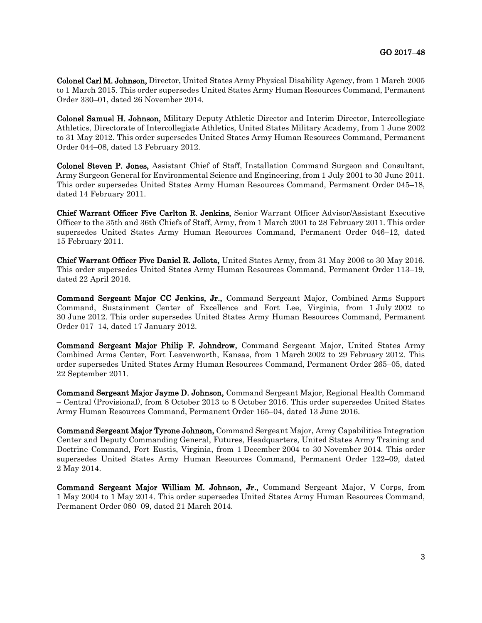Colonel Carl M. Johnson, Director, United States Army Physical Disability Agency, from 1 March 2005 to 1 March 2015. This order supersedes United States Army Human Resources Command, Permanent Order 330–01, dated 26 November 2014.

Colonel Samuel H. Johnson, Military Deputy Athletic Director and Interim Director, Intercollegiate Athletics, Directorate of Intercollegiate Athletics, United States Military Academy, from 1 June 2002 to 31 May 2012. This order supersedes United States Army Human Resources Command, Permanent Order 044–08, dated 13 February 2012.

Colonel Steven P. Jones, Assistant Chief of Staff, Installation Command Surgeon and Consultant, Army Surgeon General for Environmental Science and Engineering, from 1 July 2001 to 30 June 2011. This order supersedes United States Army Human Resources Command, Permanent Order 045–18, dated 14 February 2011.

Chief Warrant Officer Five Carlton R. Jenkins, Senior Warrant Officer Advisor/Assistant Executive Officer to the 35th and 36th Chiefs of Staff, Army, from 1 March 2001 to 28 February 2011. This order supersedes United States Army Human Resources Command, Permanent Order 046–12, dated 15 February 2011.

Chief Warrant Officer Five Daniel R. Jollota, United States Army, from 31 May 2006 to 30 May 2016. This order supersedes United States Army Human Resources Command, Permanent Order 113–19, dated 22 April 2016.

Command Sergeant Major CC Jenkins, Jr., Command Sergeant Major, Combined Arms Support Command, Sustainment Center of Excellence and Fort Lee, Virginia, from 1 July 2002 to 30 June 2012. This order supersedes United States Army Human Resources Command, Permanent Order 017–14, dated 17 January 2012.

Command Sergeant Major Philip F. Johndrow, Command Sergeant Major, United States Army Combined Arms Center, Fort Leavenworth, Kansas, from 1 March 2002 to 29 February 2012. This order supersedes United States Army Human Resources Command, Permanent Order 265–05, dated 22 September 2011.

Command Sergeant Major Jayme D. Johnson, Command Sergeant Major, Regional Health Command – Central (Provisional), from 8 October 2013 to 8 October 2016. This order supersedes United States Army Human Resources Command, Permanent Order 165–04, dated 13 June 2016.

Command Sergeant Major Tyrone Johnson, Command Sergeant Major, Army Capabilities Integration Center and Deputy Commanding General, Futures, Headquarters, United States Army Training and Doctrine Command, Fort Eustis, Virginia, from 1 December 2004 to 30 November 2014. This order supersedes United States Army Human Resources Command, Permanent Order 122–09, dated 2 May 2014.

Command Sergeant Major William M. Johnson, Jr., Command Sergeant Major, V Corps, from 1 May 2004 to 1 May 2014. This order supersedes United States Army Human Resources Command, Permanent Order 080–09, dated 21 March 2014.